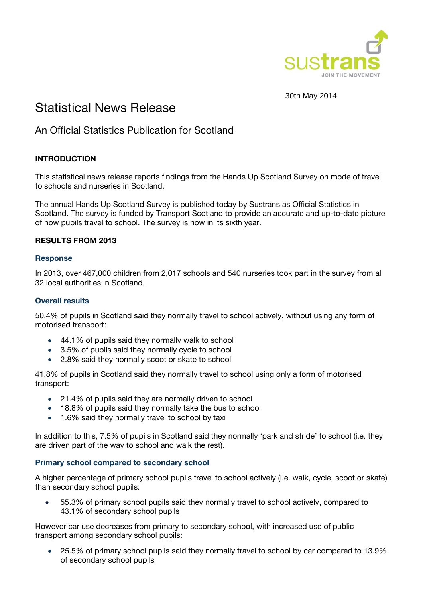

30th May 2014

# Statistical News Release

# An Official Statistics Publication for Scotland

# **INTRODUCTION**

This statistical news release reports findings from the Hands Up Scotland Survey on mode of travel to schools and nurseries in Scotland.

The annual Hands Up Scotland Survey is published today by Sustrans as Official Statistics in Scotland. The survey is funded by Transport Scotland to provide an accurate and up-to-date picture of how pupils travel to school. The survey is now in its sixth year.

#### **RESULTS FROM 2013**

#### **Response**

In 2013, over 467,000 children from 2,017 schools and 540 nurseries took part in the survey from all 32 local authorities in Scotland.

#### **Overall results**

50.4% of pupils in Scotland said they normally travel to school actively, without using any form of motorised transport:

- 44.1% of pupils said they normally walk to school
- 3.5% of pupils said they normally cycle to school
- 2.8% said they normally scoot or skate to school

41.8% of pupils in Scotland said they normally travel to school using only a form of motorised transport:

- 21.4% of pupils said they are normally driven to school
- 18.8% of pupils said they normally take the bus to school
- 1.6% said they normally travel to school by taxi

In addition to this, 7.5% of pupils in Scotland said they normally 'park and stride' to school (i.e. they are driven part of the way to school and walk the rest).

#### **Primary school compared to secondary school**

A higher percentage of primary school pupils travel to school actively (i.e. walk, cycle, scoot or skate) than secondary school pupils:

 55.3% of primary school pupils said they normally travel to school actively, compared to 43.1% of secondary school pupils

However car use decreases from primary to secondary school, with increased use of public transport among secondary school pupils:

 25.5% of primary school pupils said they normally travel to school by car compared to 13.9% of secondary school pupils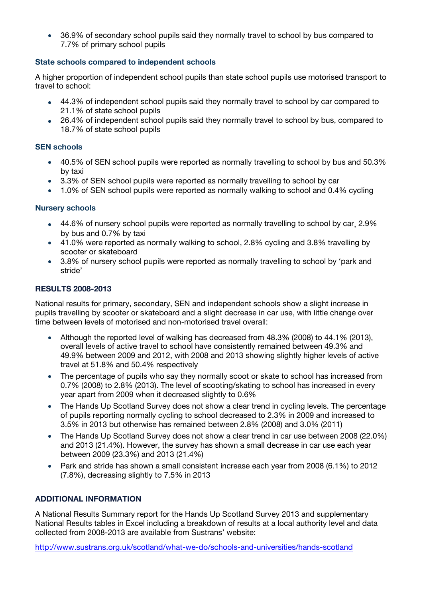• 36.9% of secondary school pupils said they normally travel to school by bus compared to 7.7% of primary school pupils

## **State schools compared to independent schools**

A higher proportion of independent school pupils than state school pupils use motorised transport to travel to school:

- 44.3% of independent school pupils said they normally travel to school by car compared to 21.1% of state school pupils
- 26.4% of independent school pupils said they normally travel to school by bus, compared to 18.7% of state school pupils

#### **SEN schools**

- 40.5% of SEN school pupils were reported as normally travelling to school by bus and 50.3% by taxi
- 3.3% of SEN school pupils were reported as normally travelling to school by car
- 1.0% of SEN school pupils were reported as normally walking to school and 0.4% cycling

#### **Nursery schools**

- 44.6% of nursery school pupils were reported as normally travelling to school by car, 2.9% by bus and 0.7% by taxi
- 41.0% were reported as normally walking to school, 2.8% cycling and 3.8% travelling by scooter or skateboard
- 3.8% of nursery school pupils were reported as normally travelling to school by 'park and stride'

#### **RESULTS 2008-2013**

National results for primary, secondary, SEN and independent schools show a slight increase in pupils travelling by scooter or skateboard and a slight decrease in car use, with little change over time between levels of motorised and non-motorised travel overall:

- Although the reported level of walking has decreased from 48.3% (2008) to 44.1% (2013), overall levels of active travel to school have consistently remained between 49.3% and 49.9% between 2009 and 2012, with 2008 and 2013 showing slightly higher levels of active travel at 51.8% and 50.4% respectively
- The percentage of pupils who say they normally scoot or skate to school has increased from 0.7% (2008) to 2.8% (2013). The level of scooting/skating to school has increased in every year apart from 2009 when it decreased slightly to 0.6%
- The Hands Up Scotland Survey does not show a clear trend in cycling levels. The percentage of pupils reporting normally cycling to school decreased to 2.3% in 2009 and increased to 3.5% in 2013 but otherwise has remained between 2.8% (2008) and 3.0% (2011)
- The Hands Up Scotland Survey does not show a clear trend in car use between 2008 (22.0%) and 2013 (21.4%). However, the survey has shown a small decrease in car use each year between 2009 (23.3%) and 2013 (21.4%)
- Park and stride has shown a small consistent increase each year from 2008 (6.1%) to 2012 (7.8%), decreasing slightly to 7.5% in 2013

## **ADDITIONAL INFORMATION**

A National Results Summary report for the Hands Up Scotland Survey 2013 and supplementary National Results tables in Excel including a breakdown of results at a local authority level and data collected from 2008-2013 are available from Sustrans' website:

http://www.sustrans.org.uk/scotland/what-we-do/schools-and-universities/hands-scotland